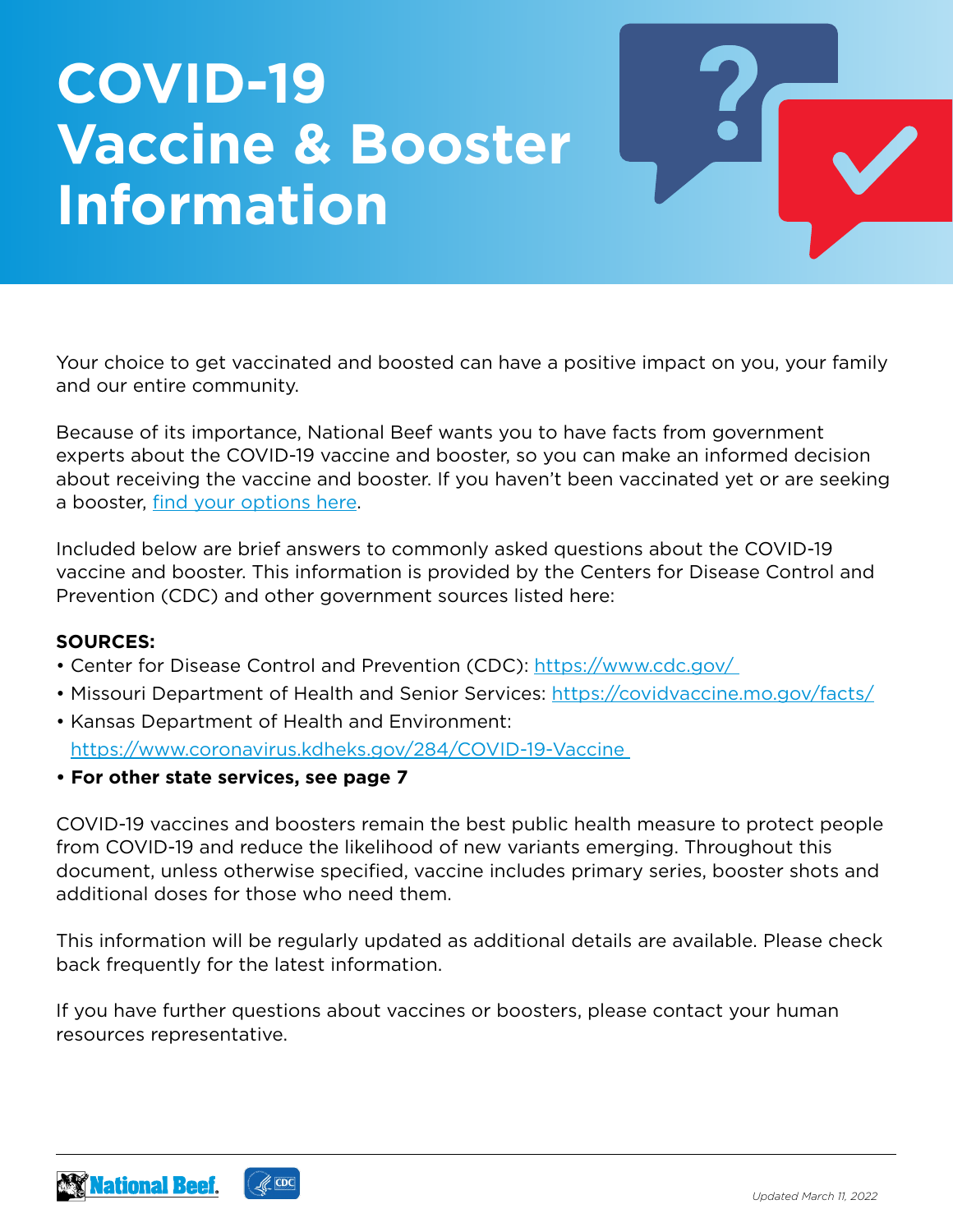# **COVID-19 Vaccine & Booster Information**

Your choice to get vaccinated and boosted can have a positive impact on you, your family and our entire community.

Because of its importance, National Beef wants you to have facts from government experts about the COVID-19 vaccine and booster, so you can make an informed decision about receiving the vaccine and booster. If you haven't been vaccinated yet or are seeking a booster, [find your options here](https://www.cdc.gov/coronavirus/2019-ncov/vaccines/How-Do-I-Get-a-COVID-19-Vaccine.html).

Included below are brief answers to commonly asked questions about the COVID-19 vaccine and booster. This information is provided by the Centers for Disease Control and Prevention (CDC) and other government sources listed here:

#### **SOURCES:**

- Center for Disease Control and Prevention (CDC): https://www.cdc.gov/
- Missouri Department of Health and Senior Services: <https://covidvaccine.mo.gov/facts/>
- Kansas Department of Health and Environment: <https://www.coronavirus.kdheks.gov/284/COVID-19-Vaccine>
- **For other state services, see page 7**

COVID-19 vaccines and boosters remain the best public health measure to protect people from COVID-19 and reduce the likelihood of new variants emerging. Throughout this document, unless otherwise specified, vaccine includes primary series, booster shots and additional doses for those who need them.

This information will be regularly updated as additional details are available. Please check back frequently for the latest information.

If you have further questions about vaccines or boosters, please contact your human resources representative.

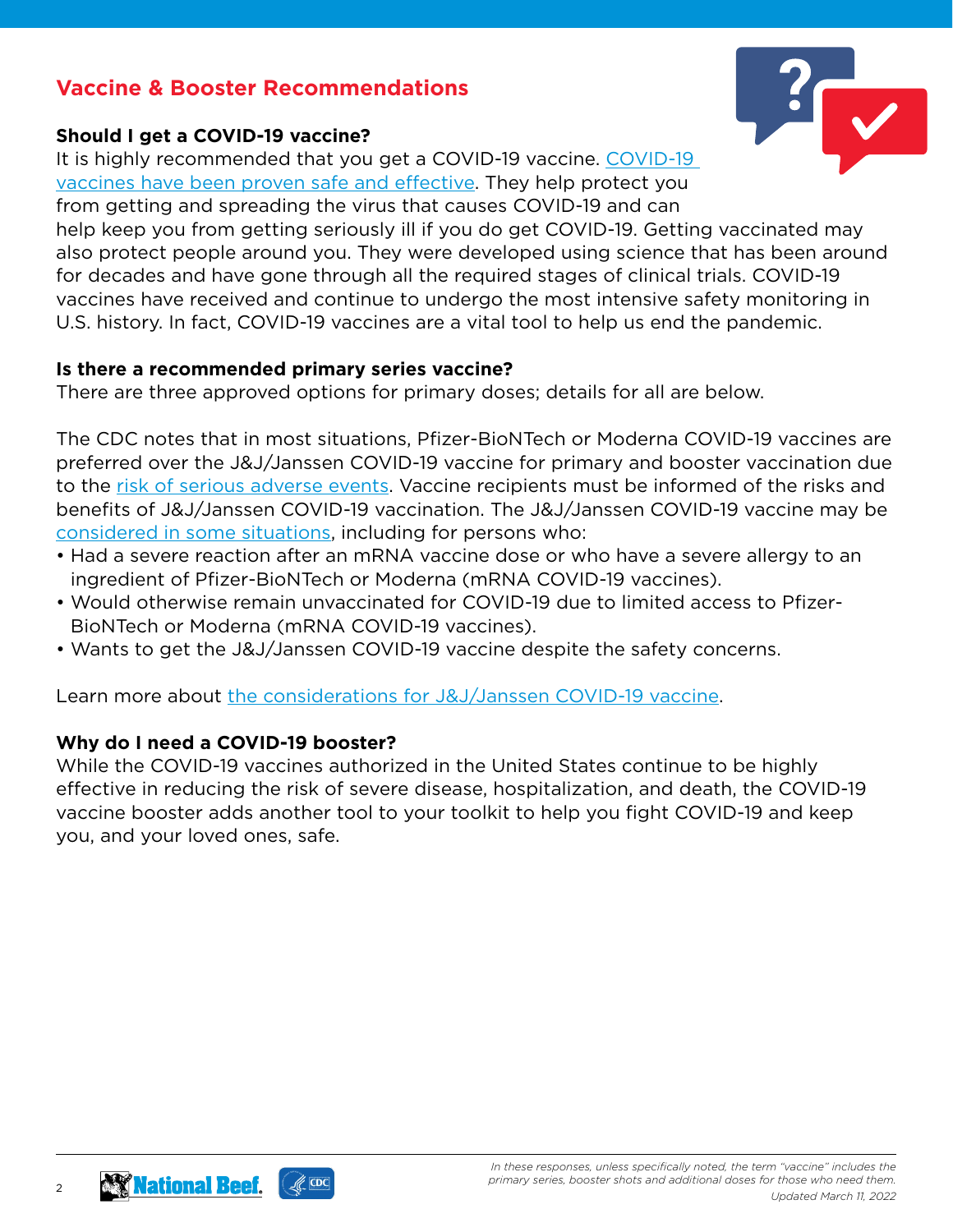# **Vaccine & Booster Recommendations**

#### **Should I get a COVID-19 vaccine?**

It is highly recommended that you get a COVID-19 vaccine. [COVID-19](https://www.cdc.gov/coronavirus/2019-ncov/vaccines/effectiveness/index.html)  [vaccines have been proven safe and effective](https://www.cdc.gov/coronavirus/2019-ncov/vaccines/effectiveness/index.html). They help protect you from getting and spreading the virus that causes COVID-19 and can help keep you from getting seriously ill if you do get COVID-19. Getting vaccinated may also protect people around you. They were developed using science that has been around for decades and have gone through all the required stages of clinical trials. COVID-19 vaccines have received and continue to undergo the most intensive safety monitoring in U.S. history. In fact, COVID-19 vaccines are a vital tool to help us end the pandemic.

#### **Is there a recommended primary series vaccine?**

There are three approved options for primary doses; details for all are below.

The CDC notes that in most situations, Pfizer-BioNTech or Moderna COVID-19 vaccines are preferred over the J&J/Janssen COVID-19 vaccine for primary and booster vaccination due to the [risk of serious adverse events](https://www.cdc.gov/coronavirus/2019-ncov/vaccines/safety/adverse-events.html). Vaccine recipients must be informed of the risks and benefits of J&J/Janssen COVID-19 vaccination. The J&J/Janssen COVID-19 vaccine may be [considered in some situations,](https://www.cdc.gov/vaccines/covid-19/clinical-considerations/covid-19-vaccines-us.html#considerations-Janssen) including for persons who:

- Had a severe reaction after an mRNA vaccine dose or who have a severe allergy to an ingredient of Pfizer-BioNTech or Moderna (mRNA COVID-19 vaccines).
- Would otherwise remain unvaccinated for COVID-19 due to limited access to Pfizer-BioNTech or Moderna (mRNA COVID-19 vaccines).
- Wants to get the J&J/Janssen COVID-19 vaccine despite the safety concerns.

Learn more about [the considerations for J&J/Janssen COVID-19 vaccine](https://www.cdc.gov/vaccines/covid-19/clinical-considerations/covid-19-vaccines-us.html#considerations-Janssen).

#### **Why do I need a COVID-19 booster?**

While the COVID-19 vaccines authorized in the United States continue to be highly effective in reducing the risk of severe disease, hospitalization, and death, the COVID-19 vaccine booster adds another tool to your toolkit to help you fight COVID-19 and keep you, and your loved ones, safe.



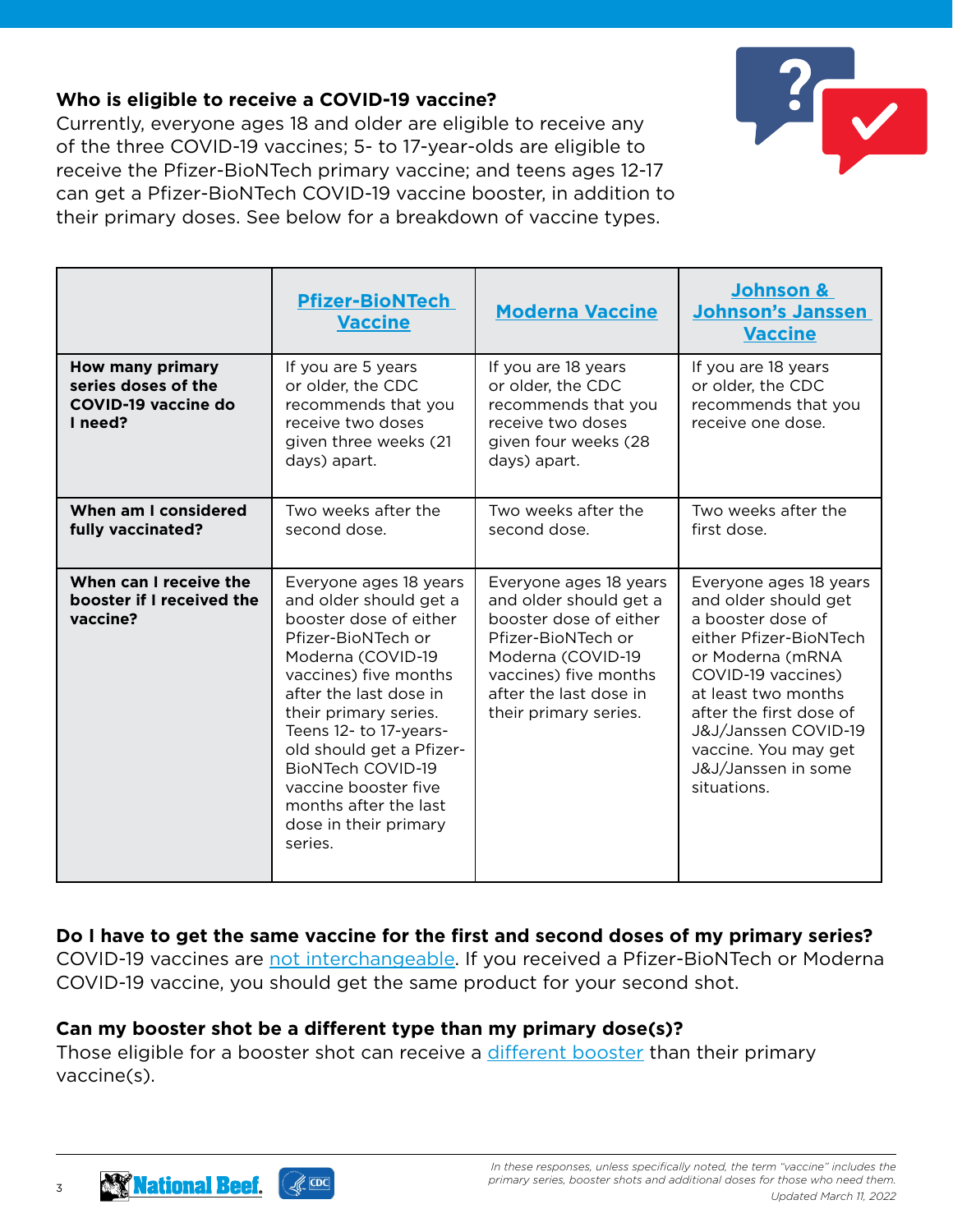## **Who is eligible to receive a COVID-19 vaccine?**

Currently, everyone ages 18 and older are eligible to receive any of the three COVID-19 vaccines; 5- to 17-year-olds are eligible to receive the Pfizer-BioNTech primary vaccine; and teens ages 12-17 can get a Pfizer-BioNTech COVID-19 vaccine booster, in addition to their primary doses. See below for a breakdown of vaccine types.

|                                                                                  | <b>Pfizer-BioNTech</b><br><b>Vaccine</b>                                                                                                                                                                                                                                                                                                                                 | <b>Moderna Vaccine</b>                                                                                                                                                                            | Johnson &<br><b>Johnson's Janssen</b><br><b>Vaccine</b>                                                                                                                                                                                                                         |
|----------------------------------------------------------------------------------|--------------------------------------------------------------------------------------------------------------------------------------------------------------------------------------------------------------------------------------------------------------------------------------------------------------------------------------------------------------------------|---------------------------------------------------------------------------------------------------------------------------------------------------------------------------------------------------|---------------------------------------------------------------------------------------------------------------------------------------------------------------------------------------------------------------------------------------------------------------------------------|
| <b>How many primary</b><br>series doses of the<br>COVID-19 vaccine do<br>I need? | If you are 5 years<br>or older, the CDC<br>recommends that you<br>receive two doses<br>given three weeks (21<br>days) apart.                                                                                                                                                                                                                                             | If you are 18 years<br>or older, the CDC<br>recommends that you<br>receive two doses<br>given four weeks (28<br>days) apart.                                                                      | If you are 18 years<br>or older, the CDC<br>recommends that you<br>receive one dose.                                                                                                                                                                                            |
| When am I considered<br>fully vaccinated?                                        | Two weeks after the<br>second dose.                                                                                                                                                                                                                                                                                                                                      | Two weeks after the<br>second dose.                                                                                                                                                               | Two weeks after the<br>first dose.                                                                                                                                                                                                                                              |
| When can I receive the<br>booster if I received the<br>vaccine?                  | Everyone ages 18 years<br>and older should get a<br>booster dose of either<br>Pfizer-BioNTech or<br>Moderna (COVID-19<br>vaccines) five months<br>after the last dose in<br>their primary series.<br>Teens 12- to 17-years-<br>old should get a Pfizer-<br><b>BioNTech COVID-19</b><br>vaccine booster five<br>months after the last<br>dose in their primary<br>series. | Everyone ages 18 years<br>and older should get a<br>booster dose of either<br>Pfizer-BioNTech or<br>Moderna (COVID-19<br>vaccines) five months<br>after the last dose in<br>their primary series. | Everyone ages 18 years<br>and older should get<br>a booster dose of<br>either Pfizer-BioNTech<br>or Moderna (mRNA<br>COVID-19 vaccines)<br>at least two months<br>after the first dose of<br>J&J/Janssen COVID-19<br>vaccine. You may get<br>J&J/Janssen in some<br>situations. |

## **Do I have to get the same vaccine for the first and second doses of my primary series?**

COVID-19 vaccines are [not interchangeable](https://www.cdc.gov/vaccines/covid-19/clinical-considerations/covid-19-vaccines-us.html#Interchangeability). If you received a Pfizer-BioNTech or Moderna COVID-19 vaccine, you should get the same product for your second shot.

#### **Can my booster shot be a different type than my primary dose(s)?**

Those eligible for a booster shot can receive a [different booster](https://www.cdc.gov/vaccines/covid-19/clinical-considerations/covid-19-vaccines-us.html#Interchangeability) than their primary vaccine(s).

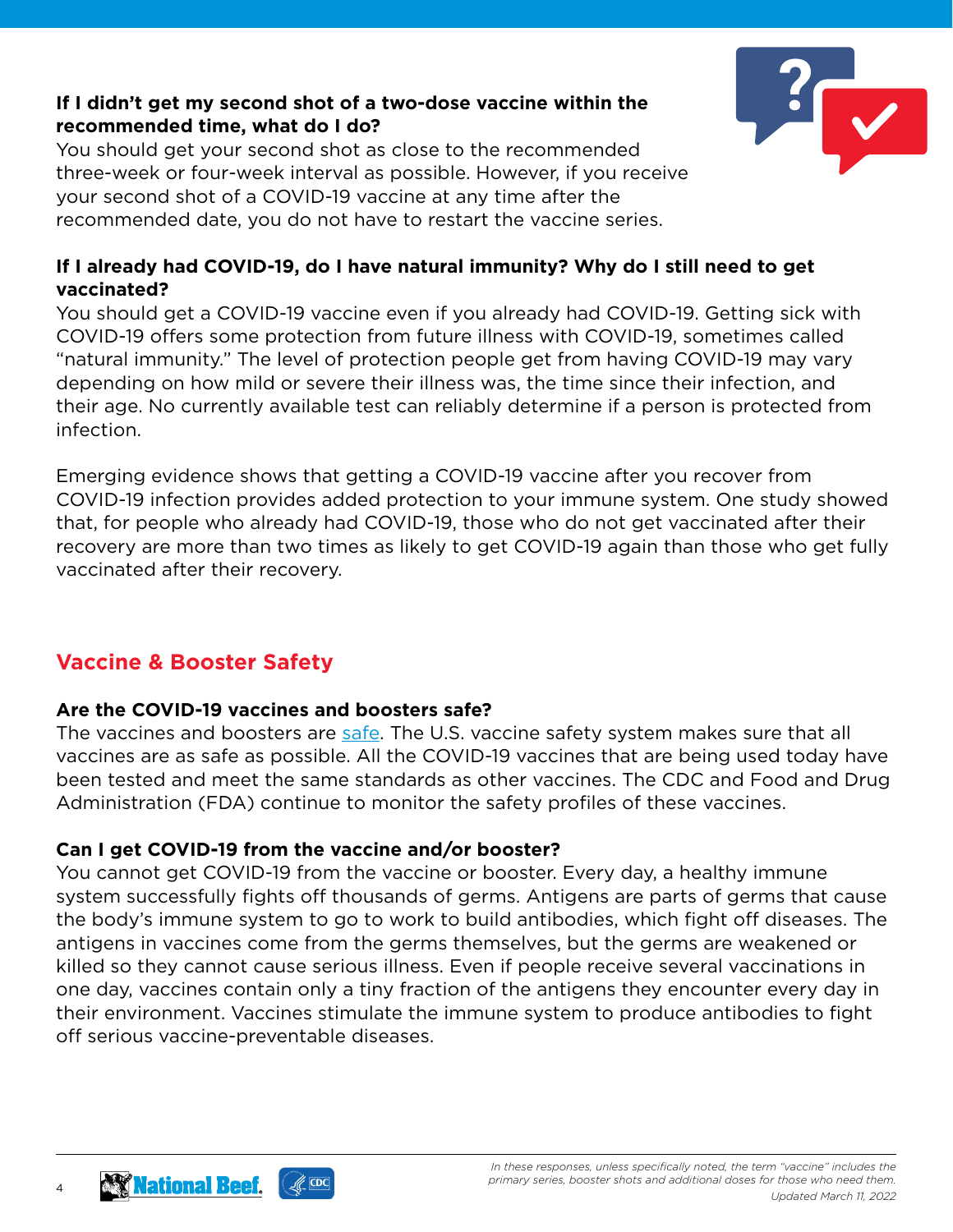#### **If I didn't get my second shot of a two-dose vaccine within the recommended time, what do I do?**

You should get your second shot as close to the recommended three-week or four-week interval as possible. However, if you receive your second shot of a COVID-19 vaccine at any time after the recommended date, you do not have to restart the vaccine series.



You should get a COVID-19 vaccine even if you already had COVID-19. Getting sick with COVID-19 offers some protection from future illness with COVID-19, sometimes called "natural immunity." The level of protection people get from having COVID-19 may vary depending on how mild or severe their illness was, the time since their infection, and their age. No currently available test can reliably determine if a person is protected from infection.

Emerging evidence shows that getting a COVID-19 vaccine after you recover from COVID-19 infection provides added protection to your immune system. One study showed that, for people who already had COVID-19, those who do not get vaccinated after their recovery are more than two times as likely to get COVID-19 again than those who get fully vaccinated after their recovery.

# **Vaccine & Booster Safety**

#### **Are the COVID-19 vaccines and boosters safe?**

The vaccines and boosters are [safe](https://www.cdc.gov/coronavirus/2019-ncov/vaccines/safety.html). The U.S. vaccine safety system makes sure that all vaccines are as safe as possible. All the COVID-19 vaccines that are being used today have been tested and meet the same standards as other vaccines. The CDC and Food and Drug Administration (FDA) continue to monitor the safety profiles of these vaccines.

## **Can I get COVID-19 from the vaccine and/or booster?**

You cannot get COVID-19 from the vaccine or booster. Every day, a healthy immune system successfully fights off thousands of germs. Antigens are parts of germs that cause the body's immune system to go to work to build antibodies, which fight off diseases. The antigens in vaccines come from the germs themselves, but the germs are weakened or killed so they cannot cause serious illness. Even if people receive several vaccinations in one day, vaccines contain only a tiny fraction of the antigens they encounter every day in their environment. Vaccines stimulate the immune system to produce antibodies to fight off serious vaccine-preventable diseases.



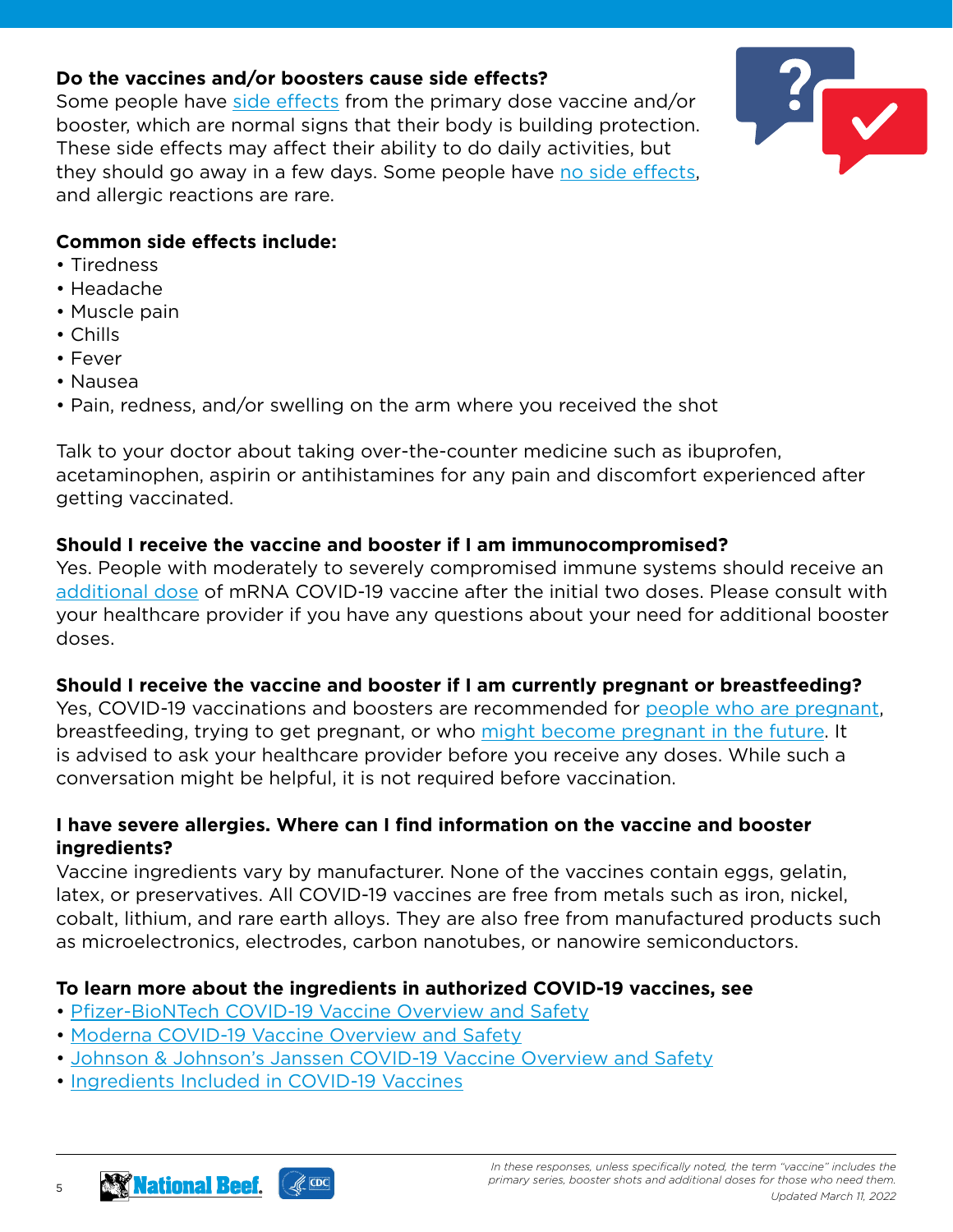#### **Do the vaccines and/or boosters cause side effects?**

Some people have [side effects](https://www.cdc.gov/coronavirus/2019-ncov/vaccines/expect/after.html?s_cid=10535:%2Bcovid%20%2Bvaccine%20%2Beffects:sem.b:p:RG:GM:gen:PTN:FY21#no-side-effect) from the primary dose vaccine and/or booster, which are normal signs that their body is building protection. These side effects may affect their ability to do daily activities, but they should go away in a few days. Some people have [no side effects](https://www.cdc.gov/coronavirus/2019-ncov/vaccines/expect/after.html?s_cid=10535:%2Bcovid%20%2Bvaccine%20%2Beffects:sem.b:p:RG:GM:gen:PTN:FY21#no-side-effect), and allergic reactions are rare.



#### **Common side effects include:**

- Tiredness
- Headache
- Muscle pain
- Chills
- Fever
- Nausea
- Pain, redness, and/or swelling on the arm where you received the shot

Talk to your doctor about taking over-the-counter medicine such as ibuprofen, acetaminophen, aspirin or antihistamines for any pain and discomfort experienced after getting vaccinated.

#### **Should I receive the vaccine and booster if I am immunocompromised?**

Yes. People with moderately to severely compromised immune systems should receive an [additional dose](https://www.cdc.gov/coronavirus/2019-ncov/vaccines/recommendations/immuno.html) of mRNA COVID-19 vaccine after the initial two doses. Please consult with your healthcare provider if you have any questions about your need for additional booster doses.

## **Should I receive the vaccine and booster if I am currently pregnant or breastfeeding?**

Yes, COVID-19 vaccinations and boosters are recommended for [people who are pregnant](https://www.cdc.gov/coronavirus/2019-ncov/vaccines/recommendations/pregnancy.html), breastfeeding, trying to get pregnant, or who [might become pregnant in the future.](https://www.cdc.gov/coronavirus/2019-ncov/vaccines/planning-for-pregnancy.html) It is advised to ask your healthcare provider before you receive any doses. While such a conversation might be helpful, it is not required before vaccination.

#### **I have severe allergies. Where can I find information on the vaccine and booster ingredients?**

Vaccine ingredients vary by manufacturer. None of the vaccines contain eggs, gelatin, latex, or preservatives. All COVID-19 vaccines are free from metals such as iron, nickel, cobalt, lithium, and rare earth alloys. They are also free from manufactured products such as microelectronics, electrodes, carbon nanotubes, or nanowire semiconductors.

## **To learn more about the ingredients in authorized COVID-19 vaccines, see**

- • [Pfizer-BioNTech COVID-19 Vaccine Overview and Safety](https://www.cdc.gov/coronavirus/2019-ncov/vaccines/different-vaccines/Pfizer-BioNTech.html)
- • [Moderna COVID-19 Vaccine Overview and Safety](https://www.cdc.gov/coronavirus/2019-ncov/vaccines/different-vaccines/Moderna.html)
- • [Johnson & Johnson's Janssen COVID-19 Vaccine Overview and Safety](https://www.cdc.gov/coronavirus/2019-ncov/vaccines/different-vaccines/Janssen.html)
- • [Ingredients Included in COVID-19 Vaccines](https://www.cdc.gov/vaccines/covid-19/clinical-considerations/covid-19-vaccines-us.html#Appendix-C)

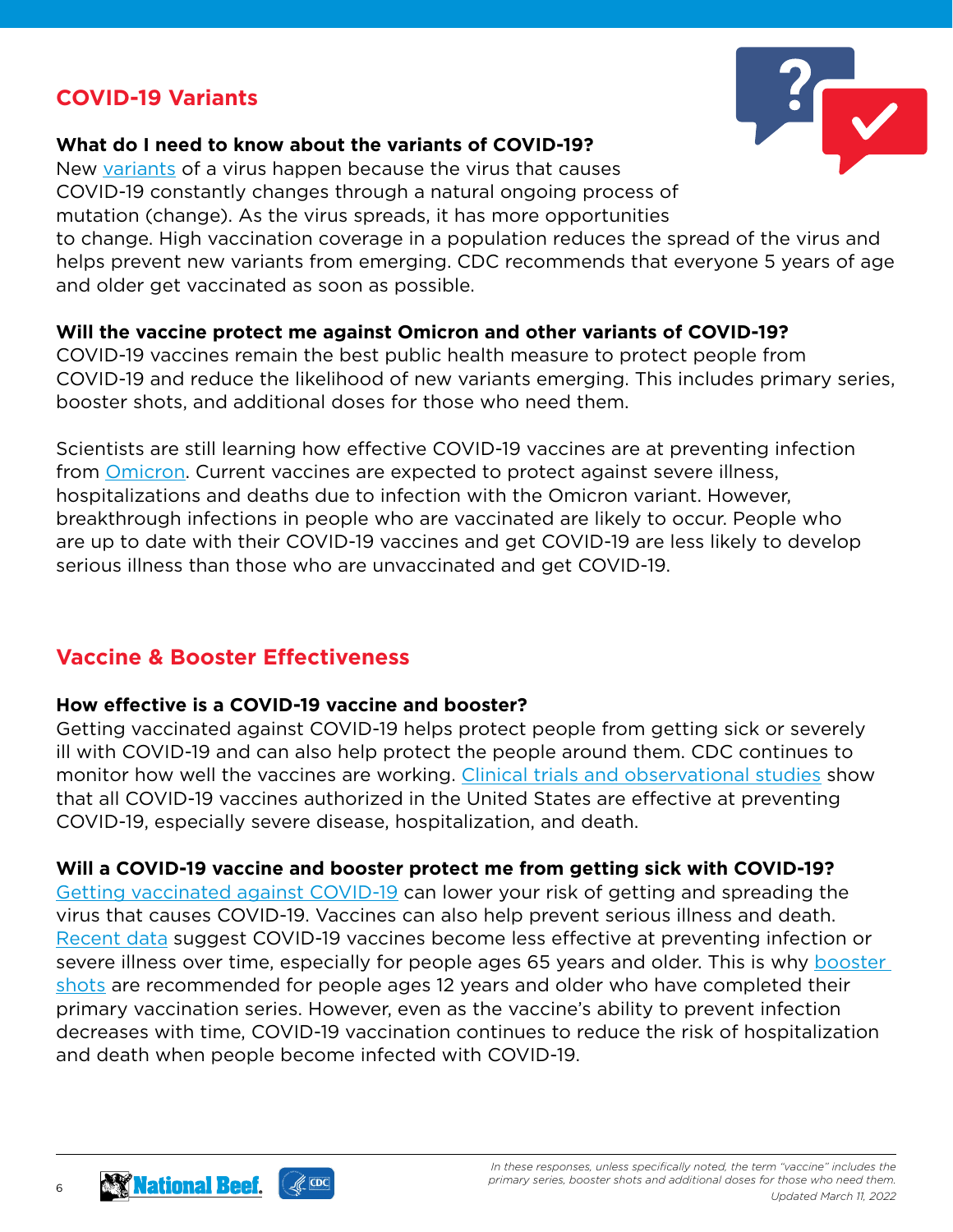# **COVID-19 Variants**

#### **What do I need to know about the variants of COVID-19?**

New [variants](https://www.cdc.gov/coronavirus/2019-ncov/variants/understanding-variants.html) of a virus happen because the virus that causes COVID-19 constantly changes through a natural ongoing process of mutation (change). As the virus spreads, it has more opportunities to change. High vaccination coverage in a population reduces the spread of the virus and helps prevent new variants from emerging. CDC recommends that everyone 5 years of age and older get vaccinated as soon as possible.

#### **Will the vaccine protect me against Omicron and other variants of COVID-19?**

COVID-19 vaccines remain the best public health measure to protect people from COVID-19 and reduce the likelihood of new variants emerging. This includes primary series, booster shots, and additional doses for those who need them.

Scientists are still learning how effective COVID-19 vaccines are at preventing infection from [Omicron](https://www.cdc.gov/coronavirus/2019-ncov/variants/omicron-variant.html). Current vaccines are expected to protect against severe illness, hospitalizations and deaths due to infection with the Omicron variant. However, breakthrough infections in people who are vaccinated are likely to occur. People who are up to date with their COVID-19 vaccines and get COVID-19 are less likely to develop serious illness than those who are unvaccinated and get COVID-19.

# **Vaccine & Booster Effectiveness**

#### **How effective is a COVID-19 vaccine and booster?**

Getting vaccinated against COVID-19 helps protect people from getting sick or severely ill with COVID-19 and can also help protect the people around them. CDC continues to monitor how well the vaccines are working. [Clinical trials and observational studies](https://www.cdc.gov/mmwr/volumes/70/wr/mm7032e3.htm) show that all COVID-19 vaccines authorized in the United States are effective at preventing COVID-19, especially severe disease, hospitalization, and death.

#### **Will a COVID-19 vaccine and booster protect me from getting sick with COVID-19?**

[Getting vaccinated against COVID-19](https://www.cdc.gov/coronavirus/2019-ncov/vaccines/vaccine-benefits.html) can lower your risk of getting and spreading the virus that causes COVID-19. Vaccines can also help prevent serious illness and death. [Recent data](https://www.cdc.gov/vaccines/acip/meetings/downloads/slides-2021-11-19/06-COVID-Oliver-508.pdf) suggest COVID-19 vaccines become less effective at preventing infection or severe illness over time, especially for people ages 65 years and older. This is why [booster](https://www.cdc.gov/coronavirus/2019-ncov/vaccines/booster-shot.html)  [shots](https://www.cdc.gov/coronavirus/2019-ncov/vaccines/booster-shot.html) are recommended for people ages 12 years and older who have completed their primary vaccination series. However, even as the vaccine's ability to prevent infection decreases with time, COVID-19 vaccination continues to reduce the risk of hospitalization and death when people become infected with COVID-19.

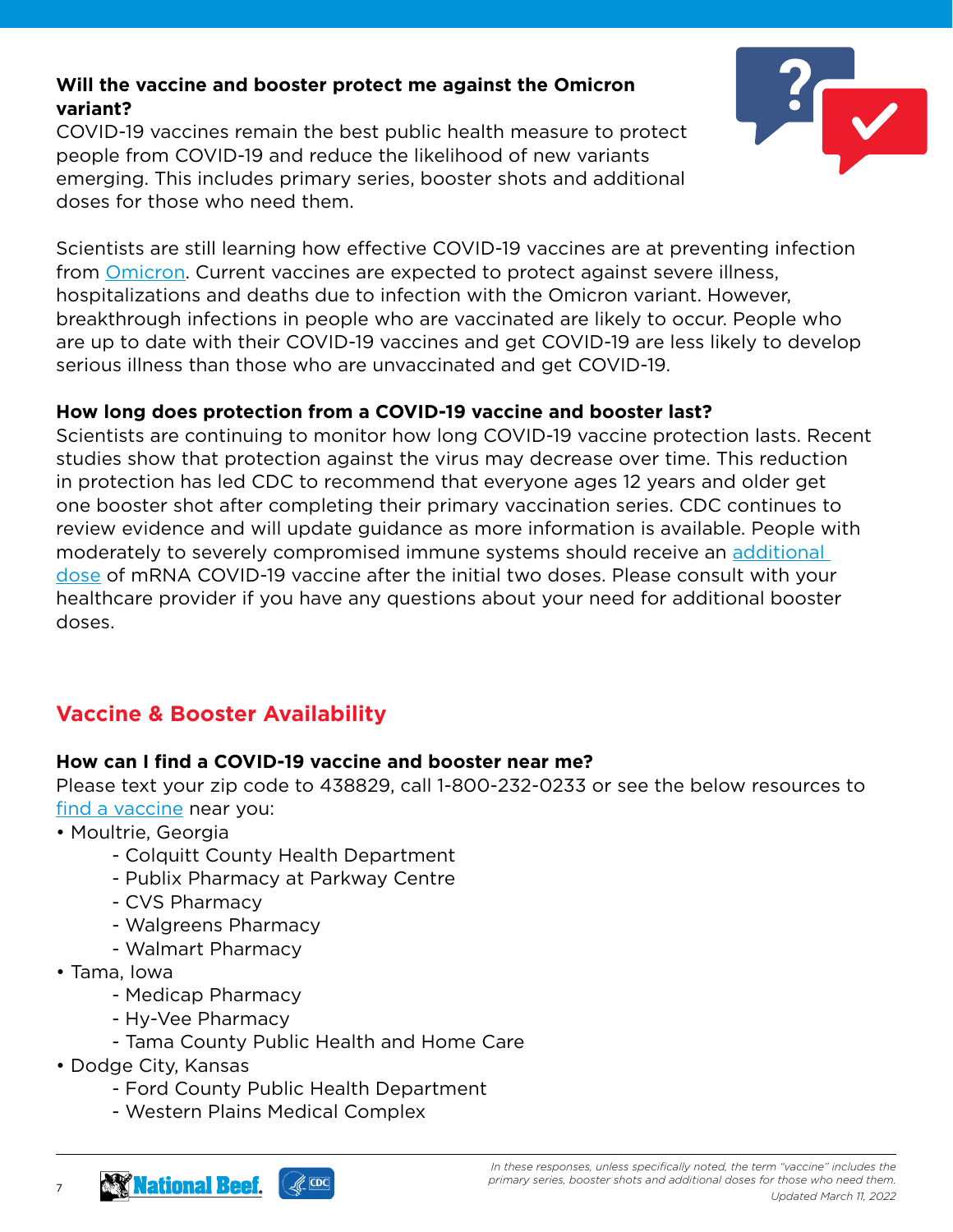## **Will the vaccine and booster protect me against the Omicron variant?**

COVID-19 vaccines remain the best public health measure to protect people from COVID-19 and reduce the likelihood of new variants emerging. This includes primary series, booster shots and additional doses for those who need them.



Scientists are still learning how effective COVID-19 vaccines are at preventing infection from [Omicron](https://www.cdc.gov/coronavirus/2019-ncov/variants/omicron-variant.html). Current vaccines are expected to protect against severe illness, hospitalizations and deaths due to infection with the Omicron variant. However, breakthrough infections in people who are vaccinated are likely to occur. People who are up to date with their COVID-19 vaccines and get COVID-19 are less likely to develop serious illness than those who are unvaccinated and get COVID-19.

#### **How long does protection from a COVID-19 vaccine and booster last?**

Scientists are continuing to monitor how long COVID-19 vaccine protection lasts. Recent studies show that protection against the virus may decrease over time. This reduction in protection has led CDC to recommend that everyone ages 12 years and older get one booster shot after completing their primary vaccination series. CDC continues to review evidence and will update guidance as more information is available. People with moderately to severely compromised immune systems should receive an [additional](https://www.cdc.gov/coronavirus/2019-ncov/vaccines/recommendations/immuno.html)  [dose](https://www.cdc.gov/coronavirus/2019-ncov/vaccines/recommendations/immuno.html) of mRNA COVID-19 vaccine after the initial two doses. Please consult with your healthcare provider if you have any questions about your need for additional booster doses.

# **Vaccine & Booster Availability**

## **How can I find a COVID-19 vaccine and booster near me?**

Please text your zip code to 438829, call 1-800-232-0233 or see the below resources to [find a vaccine](https://www.cdc.gov/coronavirus/2019-ncov/vaccines/How-Do-I-Get-a-COVID-19-Vaccine.html) near you:

- Moultrie, Georgia
	- Colquitt County Health Department
	- Publix Pharmacy at Parkway Centre
	- CVS Pharmacy
	- Walgreens Pharmacy
	- Walmart Pharmacy
- Tama, Iowa

- Medicap Pharmacy
- Hy-Vee Pharmacy
- Tama County Public Health and Home Care
- Dodge City, Kansas
	- Ford County Public Health Department
	- Western Plains Medical Complex

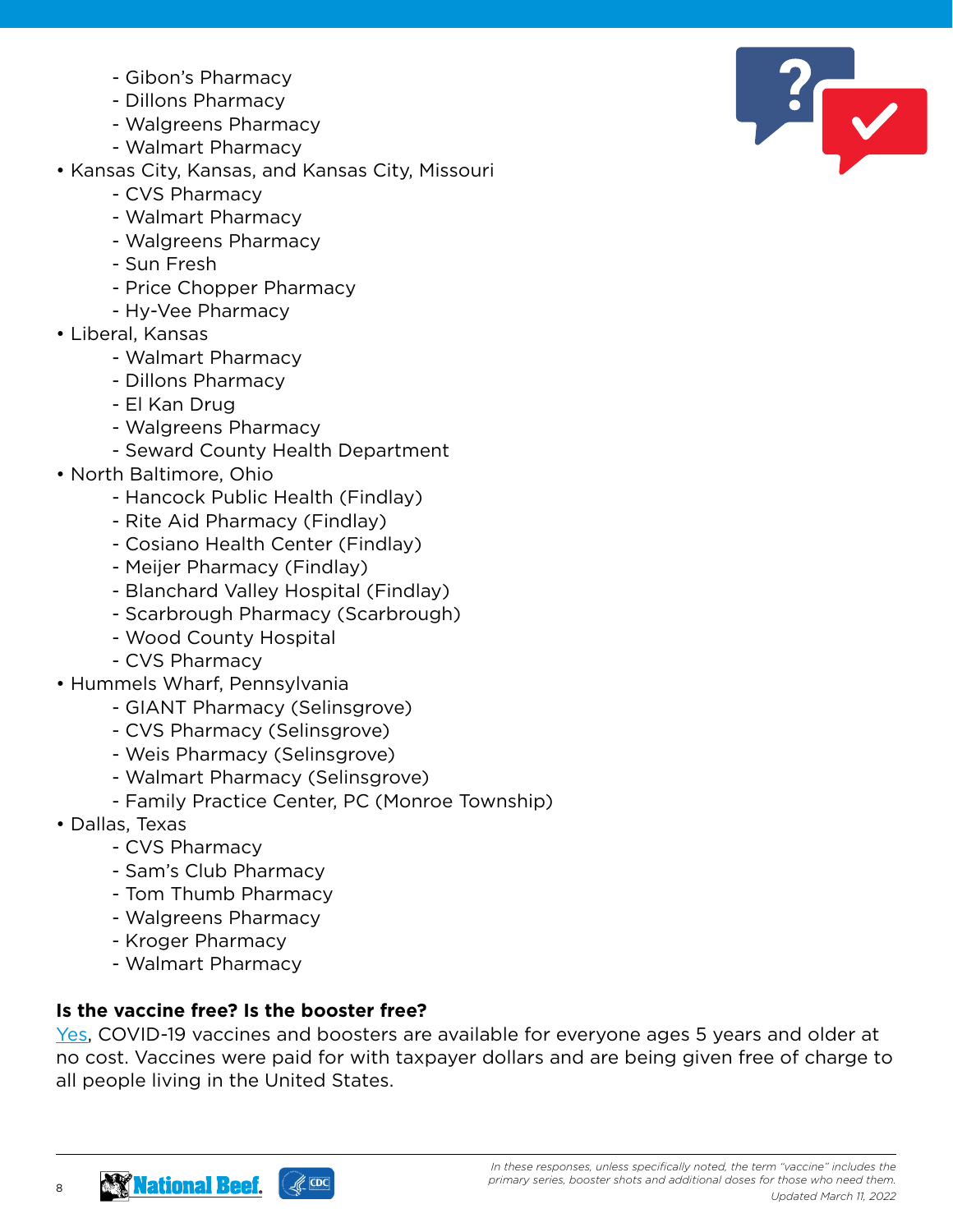- Gibon's Pharmacy
- Dillons Pharmacy
- Walgreens Pharmacy
- Walmart Pharmacy
- Kansas City, Kansas, and Kansas City, Missouri
	- CVS Pharmacy
	- Walmart Pharmacy
	- Walgreens Pharmacy
	- Sun Fresh
	- Price Chopper Pharmacy
	- Hy-Vee Pharmacy
- Liberal, Kansas
	- Walmart Pharmacy
	- Dillons Pharmacy
	- El Kan Drug
	- Walgreens Pharmacy
	- Seward County Health Department
- North Baltimore, Ohio
	- Hancock Public Health (Findlay)
	- Rite Aid Pharmacy (Findlay)
	- Cosiano Health Center (Findlay)
	- Meijer Pharmacy (Findlay)
	- Blanchard Valley Hospital (Findlay)
	- Scarbrough Pharmacy (Scarbrough)
	- Wood County Hospital
	- CVS Pharmacy
- Hummels Wharf, Pennsylvania
	- GIANT Pharmacy (Selinsgrove)
	- CVS Pharmacy (Selinsgrove)
	- Weis Pharmacy (Selinsgrove)
	- Walmart Pharmacy (Selinsgrove)
	- Family Practice Center, PC (Monroe Township)
- Dallas, Texas

8

- CVS Pharmacy
- Sam's Club Pharmacy
- Tom Thumb Pharmacy
- Walgreens Pharmacy
- Kroger Pharmacy
- Walmart Pharmacy

# **Is the vaccine free? Is the booster free?**

[Yes](https://www.cdc.gov/coronavirus/2019-ncov/vaccines/no-cost.html), COVID-19 vaccines and boosters are available for everyone ages 5 years and older at no cost. Vaccines were paid for with taxpayer dollars and are being given free of charge to all people living in the United States.



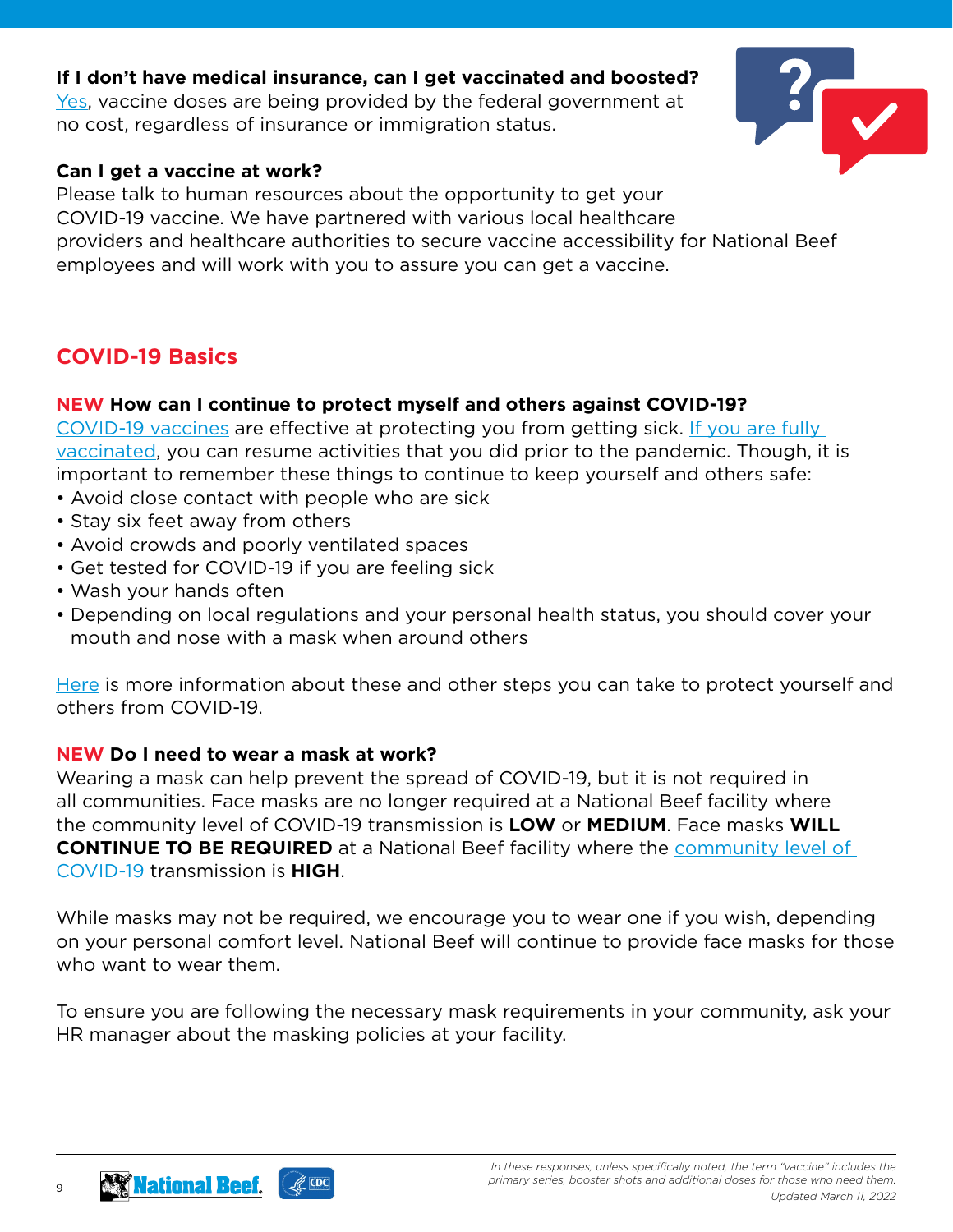#### **If I don't have medical insurance, can I get vaccinated and boosted?**

[Yes](https://www.cdc.gov/coronavirus/2019-ncov/vaccines/no-cost.html), vaccine doses are being provided by the federal government at no cost, regardless of insurance or immigration status.



#### **Can I get a vaccine at work?**

Please talk to human resources about the opportunity to get your COVID-19 vaccine. We have partnered with various local healthcare providers and healthcare authorities to secure vaccine accessibility for National Beef employees and will work with you to assure you can get a vaccine.

# **COVID-19 Basics**

#### **NEW How can I continue to protect myself and others against COVID-19?**

[COVID-19 vaccines](https://www.cdc.gov/coronavirus/2019-ncov/vaccines/index.html) are effective at protecting you from getting sick. [If you are fully](https://www.cdc.gov/coronavirus/2019-ncov/vaccines/fully-vaccinated.html#vaccinated)  [vaccinated](https://www.cdc.gov/coronavirus/2019-ncov/vaccines/fully-vaccinated.html#vaccinated), you can resume activities that you did prior to the pandemic. Though, it is important to remember these things to continue to keep yourself and others safe:

- Avoid close contact with people who are sick
- Stay six feet away from others
- Avoid crowds and poorly ventilated spaces
- Get tested for COVID-19 if you are feeling sick
- Wash your hands often
- Depending on local regulations and your personal health status, you should cover your mouth and nose with a mask when around others

[Here](https://www.cdc.gov/coronavirus/2019-ncov/prevent-getting-sick/prevention.html) is more information about these and other steps you can take to protect yourself and others from COVID-19.

#### **NEW Do I need to wear a mask at work?**

Wearing a mask can help prevent the spread of COVID-19, but it is not required in all communities. Face masks are no longer required at a National Beef facility where the community level of COVID-19 transmission is **LOW** or **MEDIUM**. Face masks **WILL CONTINUE TO BE REQUIRED** at a National Beef facility where the [community level of](https://www.cdc.gov/coronavirus/2019-ncov/science/community-levels.html)  [COVID-19](https://www.cdc.gov/coronavirus/2019-ncov/science/community-levels.html) transmission is **HIGH**.

While masks may not be required, we encourage you to wear one if you wish, depending on your personal comfort level. National Beef will continue to provide face masks for those who want to wear them.

To ensure you are following the necessary mask requirements in your community, ask your HR manager about the masking policies at your facility.

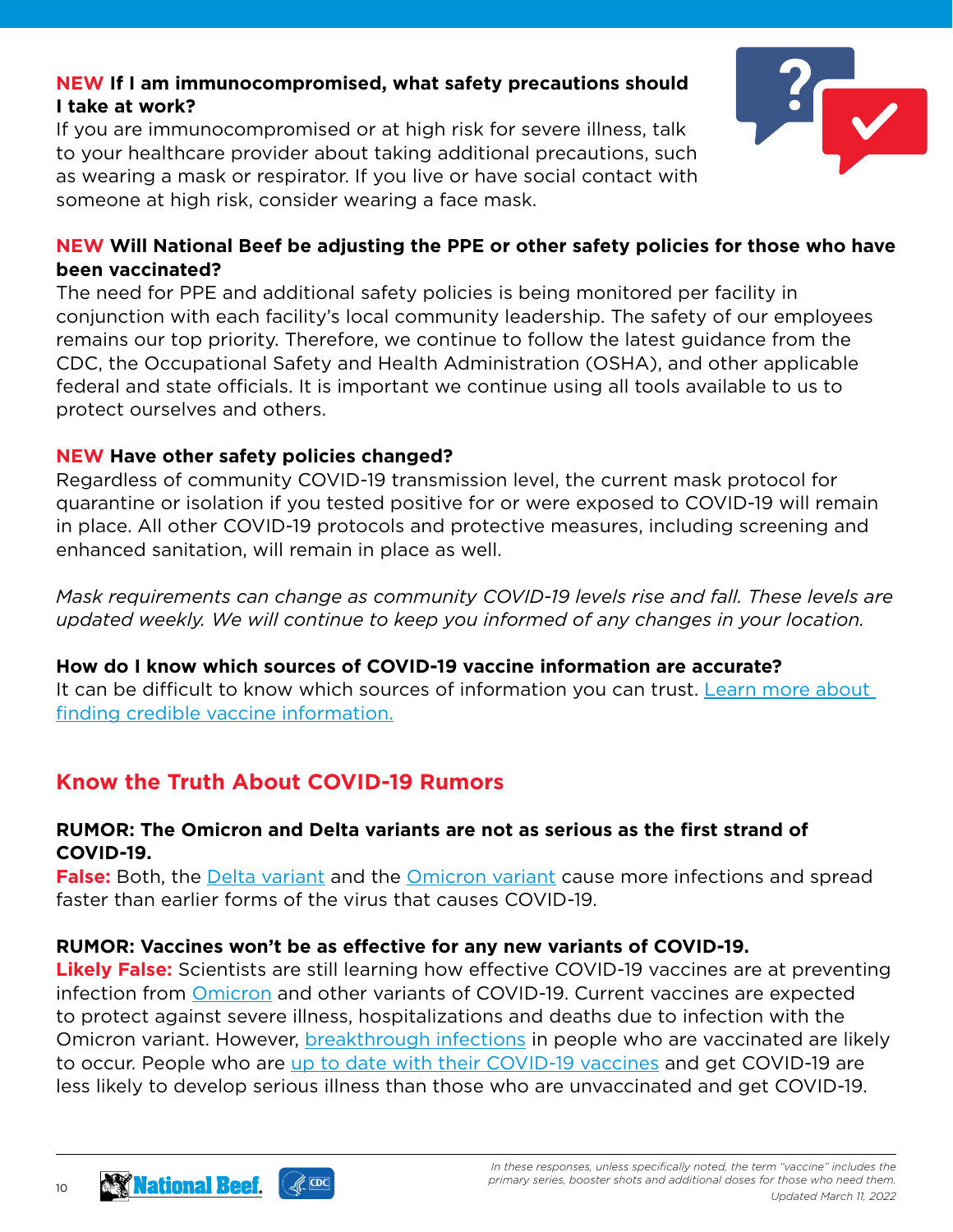## **NEW If I am immunocompromised, what safety precautions should I take at work?**

If you are immunocompromised or at high risk for severe illness, talk to your healthcare provider about taking additional precautions, such as wearing a mask or respirator. If you live or have social contact with someone at high risk, consider wearing a face mask.



## **NEW Will National Beef be adjusting the PPE or other safety policies for those who have been vaccinated?**

The need for PPE and additional safety policies is being monitored per facility in conjunction with each facility's local community leadership. The safety of our employees remains our top priority. Therefore, we continue to follow the latest guidance from the CDC, the Occupational Safety and Health Administration (OSHA), and other applicable federal and state officials. It is important we continue using all tools available to us to protect ourselves and others.

## **NEW Have other safety policies changed?**

Regardless of community COVID-19 transmission level, the current mask protocol for quarantine or isolation if you tested positive for or were exposed to COVID-19 will remain in place. All other COVID-19 protocols and protective measures, including screening and enhanced sanitation, will remain in place as well.

*Mask requirements can change as community COVID-19 levels rise and fall. These levels are updated weekly. We will continue to keep you informed of any changes in your location.*

## **How do I know which sources of COVID-19 vaccine information are accurate?**

It can be difficult to know which sources of information you can trust. Learn more about [finding credible vaccine information.](https://www.cdc.gov/vaccines/vac-gen/evalwebs.htm)

# **Know the Truth About COVID-19 Rumors**

#### **RUMOR: The Omicron and Delta variants are not as serious as the first strand of COVID-19.**

**False:** Both, the [Delta variant](https://www.cdc.gov/coronavirus/2019-ncov/variants/delta-variant.html) and the [Omicron variant](https://www.cdc.gov/coronavirus/2019-ncov/variants/omicron-variant.html) cause more infections and spread faster than earlier forms of the virus that causes COVID-19.

## **RUMOR: Vaccines won't be as effective for any new variants of COVID-19.**

**Likely False:** Scientists are still learning how effective COVID-19 vaccines are at preventing infection from [Omicron](https://www.cdc.gov/coronavirus/2019-ncov/variants/omicron-variant.html) and other variants of COVID-19. Current vaccines are expected to protect against severe illness, hospitalizations and deaths due to infection with the Omicron variant. However, **[breakthrough infections](https://www.cdc.gov/coronavirus/2019-ncov/vaccines/effectiveness/why-measure-effectiveness/breakthrough-cases.html)** in people who are vaccinated are likely to occur. People who are [up to date with their COVID-19 vaccines](https://www.cdc.gov/coronavirus/2019-ncov/vaccines/stay-up-to-date.html) and get COVID-19 are less likely to develop serious illness than those who are unvaccinated and get COVID-19.